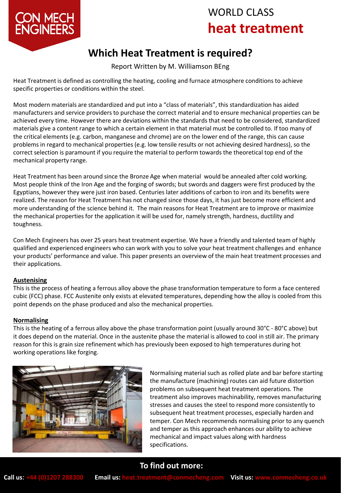# WORLD CLASS **heat treatment**



# **Which Heat Treatment is required?**

Report Written by M. Williamson BEng

Heat Treatment is defined as controlling the heating, cooling and furnace atmosphere conditions to achieve specific properties or conditions within the steel.

Most modern materials are standardized and put into a "class of materials", this standardization has aided manufacturers and service providers to purchase the correct material and to ensure mechanical properties can be achieved every time. However there are deviations within the standards that need to be considered, standardized materials give a content range to which a certain element in that material must be controlled to. If too many of the critical elements (e.g. carbon, manganese and chrome) are on the lower end of the range, this can cause problems in regard to mechanical properties (e.g. low tensile results or not achieving desired hardness), so the correct selection is paramount if you require the material to perform towards the theoretical top end of the mechanical property range.

Heat Treatment has been around since the Bronze Age when material would be annealed after cold working. Most people think of the Iron Age and the forging of swords; but swords and daggers were first produced by the Egyptians, however they were just iron based. Centuries later additions of carbon to iron and its benefits were realized. The reason for Heat Treatment has not changed since those days, it has just become more efficient and more understanding of the science behind it. The main reasons for Heat Treatment are to improve or maximize the mechanical properties for the application it will be used for, namely strength, hardness, ductility and toughness.

Con Mech Engineers has over 25 years heat treatment expertise. We have a friendly and talented team of highly qualified and experienced engineers who can work with you to solve your heat treatment challenges and enhance your products' performance and value. This paper presents an overview of the main heat treatment processes and their applications.

### **Austenising**

This is the process of heating a ferrous alloy above the phase transformation temperature to form a face centered cubic (FCC) phase. FCC Austenite only exists at elevated temperatures, depending how the alloy is cooled from this point depends on the phase produced and also the mechanical properties.

### **Normalising**

This is the heating of a ferrous alloy above the phase transformation point (usually around 30°C - 80°C above) but it does depend on the material. Once in the austenite phase the material is allowed to cool in still air. The primary reason for this is grain size refinement which has previously been exposed to high temperatures during hot working operations like forging.



Normalising material such as rolled plate and bar before starting the manufacture (machining) routes can aid future distortion problems on subsequent heat treatment operations. The treatment also improves machinability, removes manufacturing stresses and causes the steel to respond more consistently to subsequent heat treatment processes, especially harden and temper. Con Mech recommends normalising prior to any quench and temper as this approach enhances our ability to achieve mechanical and impact values along with hardness specifications.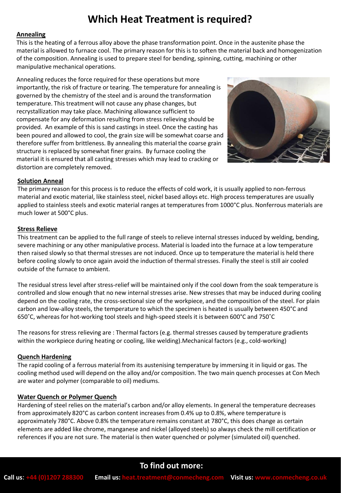## **Which Heat Treatment is required?**

### **Annealing**

This is the heating of a ferrous alloy above the phase transformation point. Once in the austenite phase the material is allowed to furnace cool. The primary reason for this is to soften the material back and homogenization of the composition. Annealing is used to prepare steel for bending, spinning, cutting, machining or other manipulative mechanical operations.

Annealing reduces the force required for these operations but more importantly, the risk of fracture or tearing. The temperature for annealing is governed by the chemistry of the steel and is around the transformation temperature. This treatment will not cause any phase changes, but recrystallization may take place. Machining allowance sufficient to compensate for any deformation resulting from stress relieving should be provided. An example of this is sand castings in steel. Once the casting has been poured and allowed to cool, the grain size will be somewhat coarse and therefore suffer from brittleness. By annealing this material the coarse grain structure is replaced by somewhat finer grains. By furnace cooling the material it is ensured that all casting stresses which may lead to cracking or distortion are completely removed.



### **Solution Anneal**

The primary reason for this process is to reduce the effects of cold work, it is usually applied to non-ferrous material and exotic material, like stainless steel, nickel based alloys etc. High process temperatures are usually applied to stainless steels and exotic material ranges at temperatures from 1000°C plus. Nonferrous materials are much lower at 500°C plus.

### **Stress Relieve**

This treatment can be applied to the full range of steels to relieve internal stresses induced by welding, bending, severe machining or any other manipulative process. Material is loaded into the furnace at a low temperature then raised slowly so that thermal stresses are not induced. Once up to temperature the material is held there before cooling slowly to once again avoid the induction of thermal stresses. Finally the steel is still air cooled outside of the furnace to ambient.

The residual stress level after stress-relief will be maintained only if the cool down from the soak temperature is controlled and slow enough that no new internal stresses arise. New stresses that may be induced during cooling depend on the cooling rate, the cross-sectional size of the workpiece, and the composition of the steel. For plain carbon and low-alloy steels, the temperature to which the specimen is heated is usually between 450°C and 650˚C, whereas for hot-working tool steels and high-speed steels it is between 600°C and 750˚C

The reasons for stress relieving are : Thermal factors (e.g. thermal stresses caused by temperature gradients within the workpiece during heating or cooling, like welding).Mechanical factors (e.g., cold-working)

### **Quench Hardening**

The rapid cooling of a ferrous material from its austenising temperature by immersing it in liquid or gas. The cooling method used will depend on the alloy and/or composition. The two main quench processes at Con Mech are water and polymer (comparable to oil) mediums.

#### **Water Quench or Polymer Quench**

Hardening of steel relies on the material's carbon and/or alloy elements. In general the temperature decreases from approximately 820°C as carbon content increases from 0.4% up to 0.8%, where temperature is approximately 780°C. Above 0.8% the temperature remains constant at 780°C, this does change as certain elements are added like chrome, manganese and nickel (alloyed steels) so always check the mill certification or references if you are not sure. The material is then water quenched or polymer (simulated oil) quenched.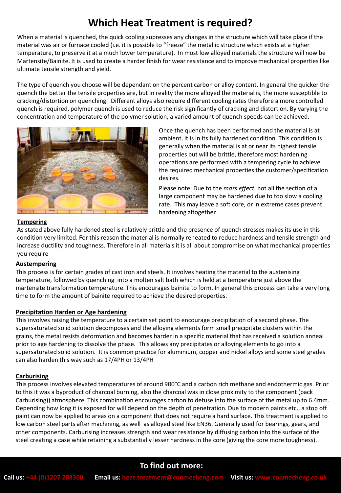# **Which Heat Treatment is required?**

When a material is quenched, the quick cooling supresses any changes in the structure which will take place if the material was air or furnace cooled (i.e. it is possible to "freeze" the metallic structure which exists at a higher temperature, to preserve it at a much lower temperature). In most low alloyed materials the structure will now be Martensite/Bainite. It is used to create a harder finish for wear resistance and to improve mechanical properties like ultimate tensile strength and yield.

The type of quench you choose will be dependant on the percent carbon or alloy content. In general the quicker the quench the better the tensile properties are, but in reality the more alloyed the material is, the more susceptible to cracking/distortion on quenching. Different alloys also require different cooling rates therefore a more controlled quench is required, polymer quench is used to reduce the risk significantly of cracking and distortion. By varying the concentration and temperature of the polymer solution, a varied amount of quench speeds can be achieved.



Once the quench has been performed and the material is at ambient, it is in its fully hardened condition. This condition is generally when the material is at or near its highest tensile properties but will be brittle, therefore most hardening operations are performed with a tempering cycle to achieve the required mechanical properties the customer/specification desires.

Please note: Due to the *mass effect*, not all the section of a large component may be hardened due to too slow a cooling rate. This may leave a soft core, or in extreme cases prevent hardening altogether

### **Tempering**

As stated above fully hardened steel is relatively brittle and the presence of quench stresses makes its use in this condition very limited. For this reason the material is normally reheated to reduce hardness and tensile strength and increase ductility and toughness. Therefore in all materials it is all about compromise on what mechanical properties you require

### **Austempering**

This process is for certain grades of cast iron and steels. It involves heating the material to the austenising temperature, followed by quenching into a molten salt bath which is held at a temperature just above the martensite transformation temperature. This encourages bainite to form. In general this process can take a very long time to form the amount of bainite required to achieve the desired properties.

### **Precipitation Harden or Age hardening**

This involves raising the temperature to a certain set point to encourage precipitation of a second phase. The supersaturated solid solution decomposes and the alloying elements form small precipitate clusters within the grains, the metal resists deformation and becomes harder in a specific material that has received a solution anneal prior to age hardening to dissolve the phase. This allows any precipitates or alloying elements to go into a supersaturated solid solution. It is common practice for aluminium, copper and nickel alloys and some steel grades can also harden this way such as 17/4PH or 13/4PH

### **Carburising**

This process involves elevated temperatures of around 900°C and a carbon rich methane and endothermic gas. Prior to this it was a byproduct of charcoal burning, also the charcoal was in close proximity to the component (pack Carburising)) atmosphere. This combination encourages carbon to defuse into the surface of the metal up to 6.4mm. Depending how long it is exposed for will depend on the depth of penetration. Due to modern paints etc., a stop off paint can now be applied to areas on a component that does not require a hard surface. This treatment is applied to low carbon steel parts after machining, as well as alloyed steel like EN36. Generally used for bearings, gears, and other components. Carburising increases strength and wear resistance by diffusing carbon into the surface of the steel creating a case while retaining a substantially lesser hardness in the core (giving the core more toughness).